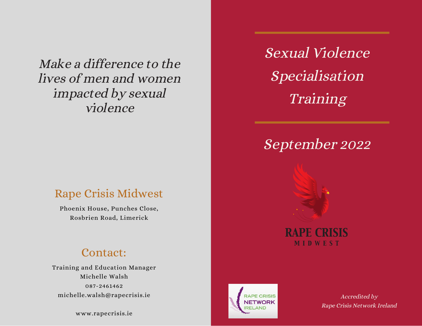Make a difference to the lives of men and women impacted by sexual violence

### Rape Crisis Midwest

Phoenix House, Punches Close, Rosbrien Road, Limerick

### Contact:

Training and Education Manager Michelle Walsh 087-2461462 michelle.walsh@rapecrisis.ie

www.rapecrisis.ie

Sexual Violence Specialisation Training

# September 2022





Accredited by Rape Crisis Network Ireland